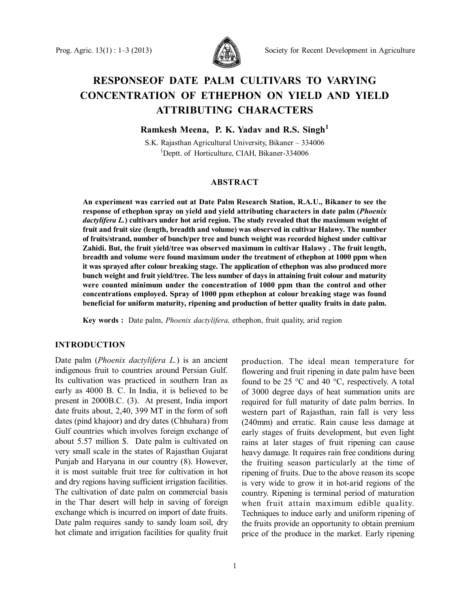

# **RESPONSEOF DATE PALM CULTIVARS TO VARYING CONCENTRATION OF ETHEPHON ON YIELD AND YIELD ATTRIBUTING CHARACTERS**

**Ramkesh Meena, P. K. Yadav and R.S. Singh<sup>1</sup>**

S.K. Rajasthan Agricultural University, Bikaner – 334006 <sup>1</sup>Deptt. of Horticulture, CIAH, Bikaner-334006

## **ABSTRACT**

**An experiment was carried out at Date Palm Research Station, R.A.U., Bikaner to see the response of ethephon spray on yield and yield attributing characters in date palm (***Phoenix dactylifera L.***) cultivars under hot arid region. The study revealed that the maximum weight of fruit and fruit size (length, breadth and volume) was observed in cultivar Halawy. The number of fruits/strand, number of bunch/per tree and bunch weight was recorded highest under cultivar Zahidi. But, the fruit yield/tree was observed maximum in cultivar Halawy . The fruit length, breadth and volume were found maximum under the treatment of ethephon at 1000 ppm when it was sprayed after colour breaking stage. The application of ethephon was also produced more bunch weight and fruit yield/tree. The less number of days in attaining fruit colour and maturity were counted minimum under the concentration of 1000 ppm than the control and other concentrations employed. Spray of 1000 ppm ethephon at colour breaking stage was found beneficial for uniform maturity, ripening and production of better quality fruits in date palm.**

**Key words :** Date palm, *Phoenix dactylifera,* ethephon, fruit quality, arid region

### **INTRODUCTION**

Date palm (*Phoenix dactylifera L.*) is an ancient indigenous fruit to countries around Persian Gulf. Its cultivation was practiced in southern Iran as early as 4000 B. C. In India, it is believed to be present in 2000B.C. (3). At present, India import date fruits about, 2,40, 399 MT in the form of soft dates (pind khajoor) and dry dates (Chhuhara) from Gulf countries which involves foreign exchange of about 5.57 million \$. Date palm is cultivated on very small scale in the states of Rajasthan Gujarat Punjab and Haryana in our country (8). However, it is most suitable fruit tree for cultivation in hot and dry regions having sufficient irrigation facilities. The cultivation of date palm on commercial basis in the Thar desert will help in saving of foreign exchange which is incurred on import of date fruits. Date palm requires sandy to sandy loam soil, dry hot climate and irrigation facilities for quality fruit

production. The ideal mean temperature for flowering and fruit ripening in date palm have been found to be 25 °C and 40 °C, respectively. A total of 3000 degree days of heat summation units are required for full maturity of date palm berries. In western part of Rajasthan, rain fall is very less (240mm) and erratic. Rain cause less damage at early stages of fruits development, but even light rains at later stages of fruit ripening can cause heavy damage. It requires rain free conditions during the fruiting season particularly at the time of ripening of fruits. Due to the above reason its scope is very wide to grow it in hot-arid regions of the country. Ripening is terminal period of maturation when fruit attain maximum edible quality. Techniques to induce early and uniform ripening of the fruits provide an opportunity to obtain premium price of the produce in the market. Early ripening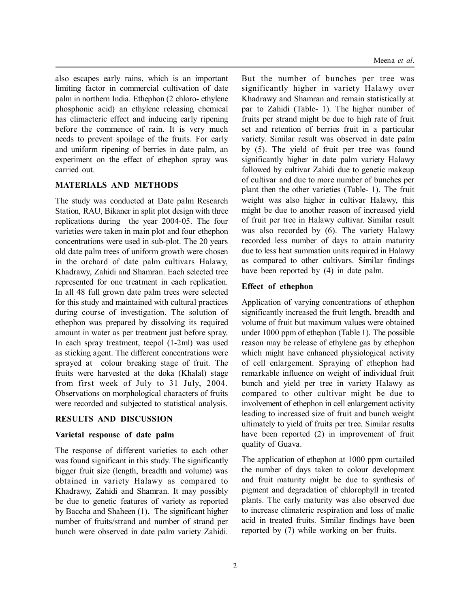also escapes early rains, which is an important limiting factor in commercial cultivation of date palm in northern India. Ethephon (2 chloro- ethylene phosphonic acid) an ethylene releasing chemical has climacteric effect and inducing early ripening before the commence of rain. It is very much needs to prevent spoilage of the fruits. For early and uniform ripening of berries in date palm, an experiment on the effect of ethephon spray was carried out.

## **MATERIALS AND METHODS**

The study was conducted at Date palm Research Station, RAU, Bikaner in split plot design with three replications during the year 2004-05. The four varieties were taken in main plot and four ethephon concentrations were used in sub-plot. The 20 years old date palm trees of uniform growth were chosen in the orchard of date palm cultivars Halawy, Khadrawy, Zahidi and Shamran. Each selected tree represented for one treatment in each replication. In all 48 full grown date palm trees were selected for this study and maintained with cultural practices during course of investigation. The solution of ethephon was prepared by dissolving its required amount in water as per treatment just before spray. In each spray treatment, teepol (1-2ml) was used as sticking agent. The different concentrations were sprayed at colour breaking stage of fruit. The fruits were harvested at the doka (Khalal) stage from first week of July to 31 July, 2004. Observations on morphological characters of fruits were recorded and subjected to statistical analysis.

## **RESULTS AND DISCUSSION**

## **Varietal response of date palm**

The response of different varieties to each other was found significant in this study. The significantly bigger fruit size (length, breadth and volume) was obtained in variety Halawy as compared to Khadrawy, Zahidi and Shamran. It may possibly be due to genetic features of variety as reported by Baccha and Shaheen (1). The significant higher number of fruits/strand and number of strand per bunch were observed in date palm variety Zahidi.

But the number of bunches per tree was significantly higher in variety Halawy over Khadrawy and Shamran and remain statistically at par to Zahidi (Table- 1). The higher number of fruits per strand might be due to high rate of fruit set and retention of berries fruit in a particular variety. Similar result was observed in date palm by (5). The yield of fruit per tree was found significantly higher in date palm variety Halawy followed by cultivar Zahidi due to genetic makeup of cultivar and due to more number of bunches per plant then the other varieties (Table- 1). The fruit weight was also higher in cultivar Halawy, this might be due to another reason of increased yield of fruit per tree in Halawy cultivar. Similar result was also recorded by (6). The variety Halawy recorded less number of days to attain maturity due to less heat summation units required in Halawy as compared to other cultivars. Similar findings have been reported by (4) in date palm.

#### **Effect of ethephon**

Application of varying concentrations of ethephon significantly increased the fruit length, breadth and volume of fruit but maximum values were obtained under 1000 ppm of ethephon (Table 1). The possible reason may be release of ethylene gas by ethephon which might have enhanced physiological activity of cell enlargement. Spraying of ethephon had remarkable influence on weight of individual fruit bunch and yield per tree in variety Halawy as compared to other cultivar might be due to involvement of ethephon in cell enlargement activity leading to increased size of fruit and bunch weight ultimately to yield of fruits per tree. Similar results have been reported (2) in improvement of fruit quality of Guava.

The application of ethephon at 1000 ppm curtailed the number of days taken to colour development and fruit maturity might be due to synthesis of pigment and degradation of chlorophyll in treated plants. The early maturity was also observed due to increase climateric respiration and loss of malic acid in treated fruits. Similar findings have been reported by (7) while working on ber fruits.